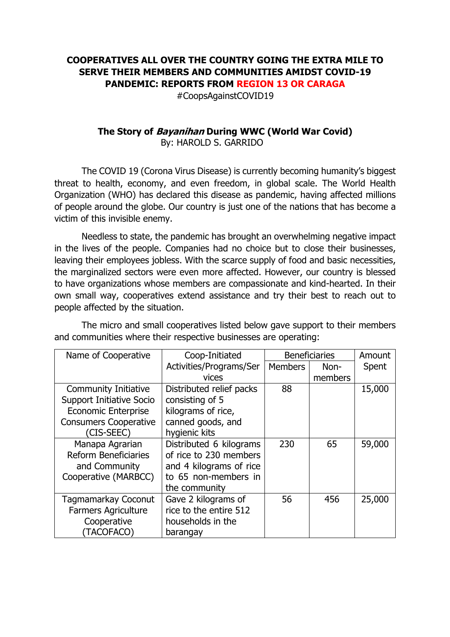## **COOPERATIVES ALL OVER THE COUNTRY GOING THE EXTRA MILE TO SERVE THEIR MEMBERS AND COMMUNITIES AMIDST COVID-19 PANDEMIC: REPORTS FROM REGION 13 OR CARAGA**

#CoopsAgainstCOVID19

## **The Story of Bayanihan During WWC (World War Covid)** By: HAROLD S. GARRIDO

The COVID 19 (Corona Virus Disease) is currently becoming humanity's biggest threat to health, economy, and even freedom, in global scale. The World Health Organization (WHO) has declared this disease as pandemic, having affected millions of people around the globe. Our country is just one of the nations that has become a victim of this invisible enemy.

Needless to state, the pandemic has brought an overwhelming negative impact in the lives of the people. Companies had no choice but to close their businesses, leaving their employees jobless. With the scarce supply of food and basic necessities, the marginalized sectors were even more affected. However, our country is blessed to have organizations whose members are compassionate and kind-hearted. In their own small way, cooperatives extend assistance and try their best to reach out to people affected by the situation.

| Name of Cooperative          | Coop-Initiated           | <b>Beneficiaries</b> |         | Amount |
|------------------------------|--------------------------|----------------------|---------|--------|
|                              | Activities/Programs/Ser  | Members              | Non-    | Spent  |
|                              | vices                    |                      | members |        |
| <b>Community Initiative</b>  | Distributed relief packs | 88                   |         | 15,000 |
| Support Initiative Socio     | consisting of 5          |                      |         |        |
| <b>Economic Enterprise</b>   | kilograms of rice,       |                      |         |        |
| <b>Consumers Cooperative</b> | canned goods, and        |                      |         |        |
| (CIS-SEEC)                   | hygienic kits            |                      |         |        |
| Manapa Agrarian              | Distributed 6 kilograms  | 230                  | 65      | 59,000 |
| <b>Reform Beneficiaries</b>  | of rice to 230 members   |                      |         |        |
| and Community                | and 4 kilograms of rice  |                      |         |        |
| Cooperative (MARBCC)         | to 65 non-members in     |                      |         |        |
|                              | the community            |                      |         |        |
| Tagmamarkay Coconut          | Gave 2 kilograms of      | 56                   | 456     | 25,000 |
| <b>Farmers Agriculture</b>   | rice to the entire 512   |                      |         |        |
| Cooperative                  | households in the        |                      |         |        |
| (TACOFACO)                   | barangay                 |                      |         |        |

The micro and small cooperatives listed below gave support to their members and communities where their respective businesses are operating: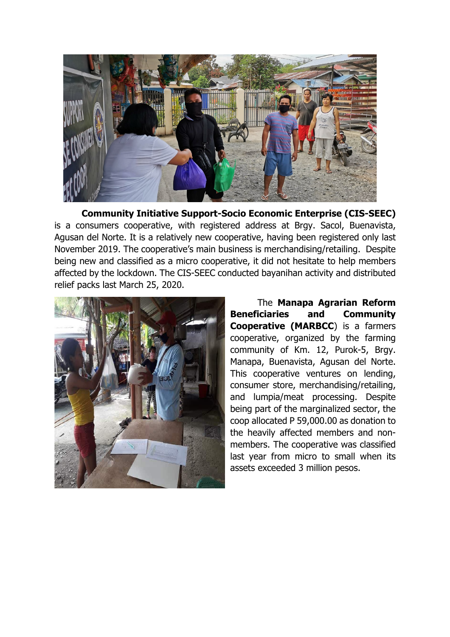

**Community Initiative Support-Socio Economic Enterprise (CIS-SEEC)** is a consumers cooperative, with registered address at Brgy. Sacol, Buenavista, Agusan del Norte. It is a relatively new cooperative, having been registered only last November 2019. The cooperative's main business is merchandising/retailing. Despite being new and classified as a micro cooperative, it did not hesitate to help members affected by the lockdown. The CIS-SEEC conducted bayanihan activity and distributed relief packs last March 25, 2020.



The **Manapa Agrarian Reform Beneficiaries and Community Cooperative (MARBCC**) is a farmers cooperative, organized by the farming community of Km. 12, Purok-5, Brgy. Manapa, Buenavista, Agusan del Norte. This cooperative ventures on lending, consumer store, merchandising/retailing, and lumpia/meat processing. Despite being part of the marginalized sector, the coop allocated P 59,000.00 as donation to the heavily affected members and nonmembers. The cooperative was classified last year from micro to small when its assets exceeded 3 million pesos.